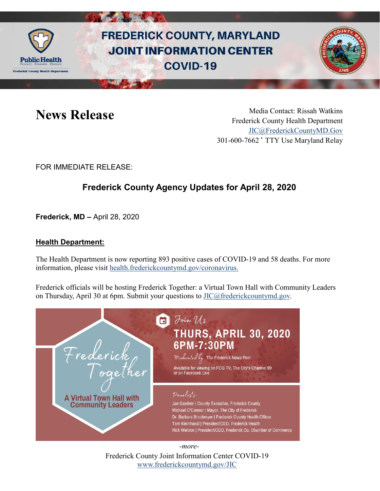

# **FREDERICK COUNTY, MARYLAND JOINT INFORMATION CENTER COVID-19**



News Release Media Contact: Rissah Watkins Frederick County Health Department [JIC@FrederickCountyMD.Gov](mailto:JIC@FrederickCountyMD.Gov) 301-600-7662 • TTY Use Maryland Relay

FOR IMMEDIATE RELEASE:

## **Frederick County Agency Updates for April 28, 2020**

**Frederick, MD –** April 28, 2020

#### **Health Department:**

The Health Department is now reporting 893 positive cases of COVID-19 and 58 deaths. For more information, please visit [health.frederickcountymd.gov/coronavirus.](https://health.frederickcountymd.gov/614/Novel-Coronavirus-COVID-19)

Frederick officials will be hosting Frederick Together: a Virtual Town Hall with Community Leaders on Thursday, April 30 at 6pm. Submit your questions to  $\text{JIC}(\widehat{\omega}$  frederick countymd.gov.



Frederick County Joint Information Center COVID-19 [www.frederickcountymd.gov/JIC](https://frederickcountymd.gov/JIC)